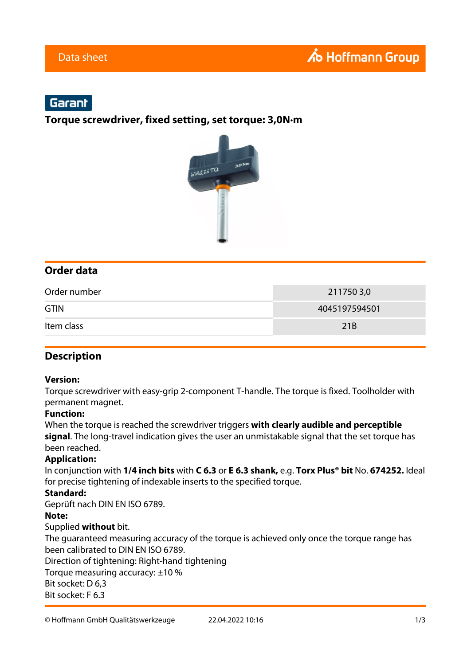# Garant

**Torque screwdriver, fixed setting, set torque: 3,0N·m**



## **Order data**

| Order number | 2117503,0       |
|--------------|-----------------|
| <b>GTIN</b>  | 4045197594501   |
| Item class   | 21 <sub>B</sub> |

### **Description**

#### **Version:**

Torque screwdriver with easy-grip 2-component T-handle. The torque is fixed. Toolholder with permanent magnet.

#### **Function:**

When the torque is reached the screwdriver triggers **with clearly audible and perceptible signal**. The long-travel indication gives the user an unmistakable signal that the set torque has been reached.

#### **Application:**

In conjunction with **1/4 inch bits** with **C 6.3** or **E 6.3 shank,** e.g. **Torx Plus® bit** No. **674252.** Ideal for precise tightening of indexable inserts to the specified torque.

#### **Standard:**

Geprüft nach DIN EN ISO 6789.

#### **Note:**

#### Supplied **without** bit.

The guaranteed measuring accuracy of the torque is achieved only once the torque range has been calibrated to DIN EN ISO 6789. Direction of tightening: Right-hand tightening Torque measuring accuracy: ±10 % Bit socket: D 6,3 Bit socket: F 6.3